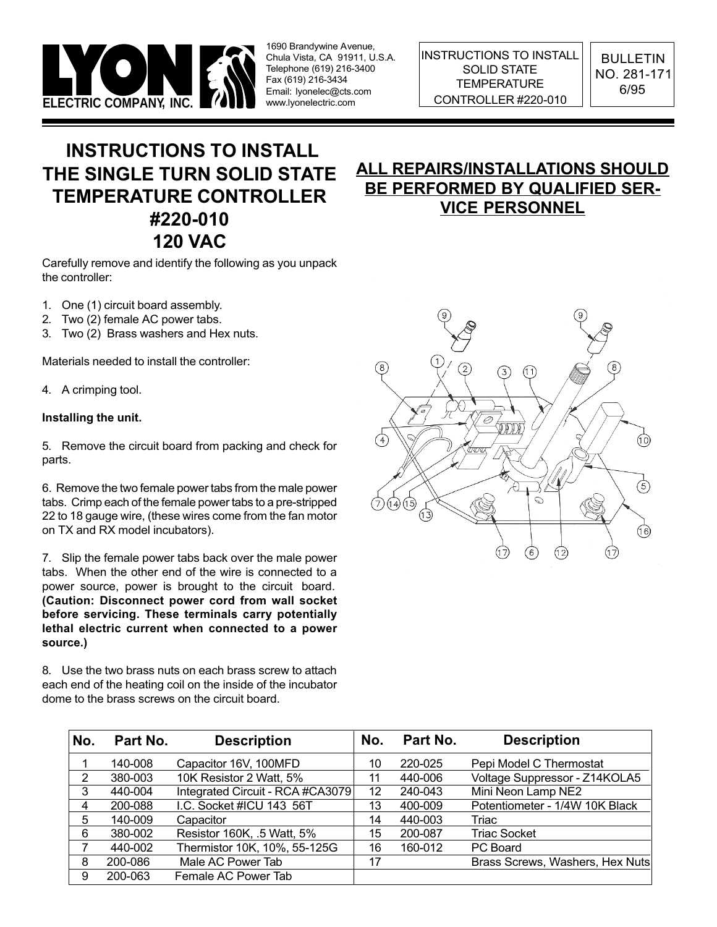

INSTRUCTIONS TO INSTALL SOLID STATE **TEMPERATURE** 

BULLETIN NO. 281-171 6/95

# INSTRUCTIONS TO INSTALL THE SINGLE TURN SOLID STATE TEMPERATURE CONTROLLER #220-010 120 VAC

Carefully remove and identify the following as you unpack the controller:

- 1. One (1) circuit board assembly.
- 2. Two (2) female AC power tabs.
- 3. Two (2) Brass washers and Hex nuts.

Materials needed to install the controller:

4. A crimping tool.

#### Installing the unit.

5. Remove the circuit board from packing and check for parts.

6. Remove the two female power tabs from the male power tabs. Crimp each of the female power tabs to a pre-stripped 22 to 18 gauge wire, (these wires come from the fan motor on TX and RX model incubators).

7. Slip the female power tabs back over the male power tabs. When the other end of the wire is connected to a power source, power is brought to the circuit board. (Caution: Disconnect power cord from wall socket before servicing. These terminals carry potentially lethal electric current when connected to a power source.)

8. Use the two brass nuts on each brass screw to attach each end of the heating coil on the inside of the incubator dome to the brass screws on the circuit board.

## ALL REPAIRS/INSTALLATIONS SHOULD BE PERFORMED BY QUALIFIED SER-VICE PERSONNEL



| No. | Part No. | <b>Description</b>               | No. | Part No. | <b>Description</b>              |
|-----|----------|----------------------------------|-----|----------|---------------------------------|
|     | 140-008  | Capacitor 16V, 100MFD            | 10  | 220-025  | Pepi Model C Thermostat         |
| 2   | 380-003  | 10K Resistor 2 Watt, 5%          | 11  | 440-006  | Voltage Suppressor - Z14KOLA5   |
| 3   | 440-004  | Integrated Circuit - RCA #CA3079 | 12  | 240-043  | Mini Neon Lamp NE2              |
| 4   | 200-088  | I.C. Socket #ICU 143 56T         | 13  | 400-009  | Potentiometer - 1/4W 10K Black  |
| 5   | 140-009  | Capacitor                        | 14  | 440-003  | Triac                           |
| 6   | 380-002  | Resistor 160K, .5 Watt, 5%       | 15  | 200-087  | <b>Triac Socket</b>             |
|     | 440-002  | Thermistor 10K, 10%, 55-125G     | 16  | 160-012  | PC Board                        |
| 8   | 200-086  | Male AC Power Tab                | 17  |          | Brass Screws, Washers, Hex Nuts |
| 9   | 200-063  | Female AC Power Tab              |     |          |                                 |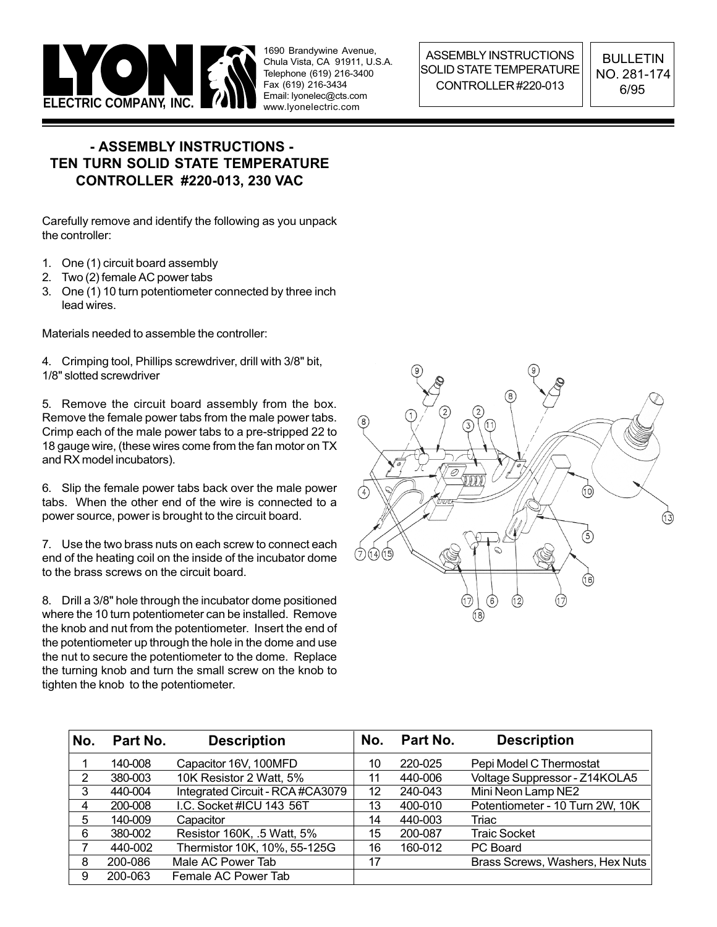

ASSEMBLY INSTRUCTIONS SOLID STATE TEMPERATURE CONTROLLER #220-013

BULLETIN NO. 281-174 6/95

### - ASSEMBLY INSTRUCTIONS - TEN TURN SOLID STATE TEMPERATURE CONTROLLER #220-013, 230 VAC

Carefully remove and identify the following as you unpack the controller:

- 1. One (1) circuit board assembly
- 2. Two (2) female AC power tabs
- 3. One (1) 10 turn potentiometer connected by three inch lead wires.

Materials needed to assemble the controller:

4. Crimping tool, Phillips screwdriver, drill with 3/8" bit, 1/8" slotted screwdriver

5. Remove the circuit board assembly from the box. Remove the female power tabs from the male power tabs. Crimp each of the male power tabs to a pre-stripped 22 to 18 gauge wire, (these wires come from the fan motor on TX and RX model incubators).

6. Slip the female power tabs back over the male power tabs. When the other end of the wire is connected to a power source, power is brought to the circuit board.

7. Use the two brass nuts on each screw to connect each end of the heating coil on the inside of the incubator dome to the brass screws on the circuit board.

8. Drill a 3/8" hole through the incubator dome positioned where the 10 turn potentiometer can be installed. Remove the knob and nut from the potentiometer. Insert the end of the potentiometer up through the hole in the dome and use the nut to secure the potentiometer to the dome. Replace the turning knob and turn the small screw on the knob to tighten the knob to the potentiometer.



| No. | Part No. | <b>Description</b>               | No. | Part No. | <b>Description</b>              |
|-----|----------|----------------------------------|-----|----------|---------------------------------|
|     | 140-008  | Capacitor 16V, 100MFD            | 10  | 220-025  | Pepi Model C Thermostat         |
| 2   | 380-003  | 10K Resistor 2 Watt, 5%          | 11  | 440-006  | Voltage Suppressor - Z14KOLA5   |
| 3   | 440-004  | Integrated Circuit - RCA #CA3079 | 12  | 240-043  | Mini Neon Lamp NE2              |
| 4   | 200-008  | I.C. Socket #ICU 143 56T         | 13  | 400-010  | Potentiometer - 10 Turn 2W, 10K |
| 5   | 140-009  | Capacitor                        | 14  | 440-003  | Triac                           |
| 6   | 380-002  | Resistor 160K, .5 Watt, 5%       | 15  | 200-087  | <b>Traic Socket</b>             |
|     | 440-002  | Thermistor 10K, 10%, 55-125G     | 16  | 160-012  | PC Board                        |
| 8   | 200-086  | Male AC Power Tab                | 17  |          | Brass Screws, Washers, Hex Nuts |
| 9   | 200-063  | Female AC Power Tab              |     |          |                                 |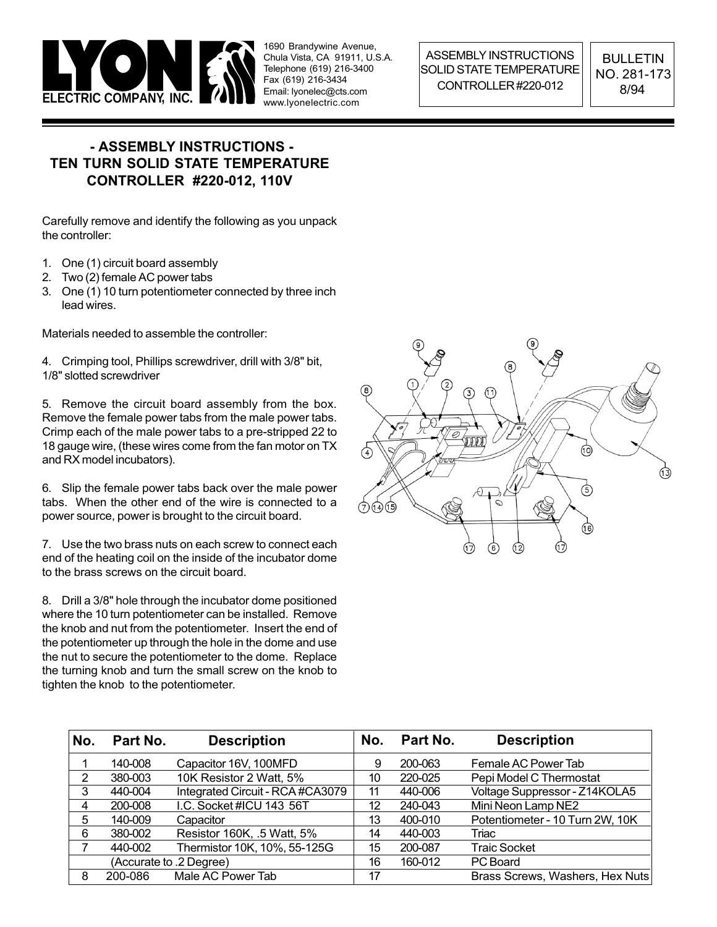

ASSEMBLY INSTRUCTIONS SOLID STATE TEMPERATURE CONTROLLER #220-012

BULLETIN NO. 281-173 8/94

### - ASSEMBLY INSTRUCTIONS - TEN TURN SOLID STATE TEMPERATURE CONTROLLER #220-012, 110V

Carefully remove and identify the following as you unpack the controller:

- 1. One (1) circuit board assembly
- 2. Two (2) female AC power tabs
- 3. One (1) 10 turn potentiometer connected by three inch lead wires.

Materials needed to assemble the controller:

4. Crimping tool, Phillips screwdriver, drill with 3/8" bit, 1/8" slotted screwdriver

5. Remove the circuit board assembly from the box. Remove the female power tabs from the male power tabs. Crimp each of the male power tabs to a pre-stripped 22 to 18 gauge wire, (these wires come from the fan motor on TX and RX model incubators).

6. Slip the female power tabs back over the male power tabs. When the other end of the wire is connected to a power source, power is brought to the circuit board.

7. Use the two brass nuts on each screw to connect each end of the heating coil on the inside of the incubator dome to the brass screws on the circuit board.

8. Drill a 3/8" hole through the incubator dome positioned where the 10 turn potentiometer can be installed. Remove the knob and nut from the potentiometer. Insert the end of the potentiometer up through the hole in the dome and use the nut to secure the potentiometer to the dome. Replace the turning knob and turn the small screw on the knob to tighten the knob to the potentiometer.



| No.                     | Part No. | <b>Description</b>               | No.     | Part No. | <b>Description</b>              |
|-------------------------|----------|----------------------------------|---------|----------|---------------------------------|
|                         | 140-008  | Capacitor 16V, 100MFD            | 9       | 200-063  | Female AC Power Tab             |
| 2                       | 380-003  | 10K Resistor 2 Watt, 5%          | 10      | 220-025  | Pepi Model C Thermostat         |
| 3                       | 440-004  | Integrated Circuit - RCA #CA3079 | 11      | 440-006  | Voltage Suppressor - Z14KOLA5   |
| 4                       | 200-008  | I.C. Socket #ICU 143 56T         | 12      | 240-043  | Mini Neon Lamp NE2              |
| 5                       | 140-009  | Capacitor                        | 13      | 400-010  | Potentiometer - 10 Turn 2W, 10K |
| 6                       | 380-002  | Resistor 160K, .5 Watt, 5%       | 14      | 440-003  | Triac                           |
|                         | 440-002  | Thermistor 10K, 10%, 55-125G     | 15      | 200-087  | <b>Traic Socket</b>             |
| (Accurate to .2 Degree) |          | 16                               | 160-012 | PC Board |                                 |
| 8                       | 200-086  | Male AC Power Tab                | 17      |          | Brass Screws, Washers, Hex Nuts |